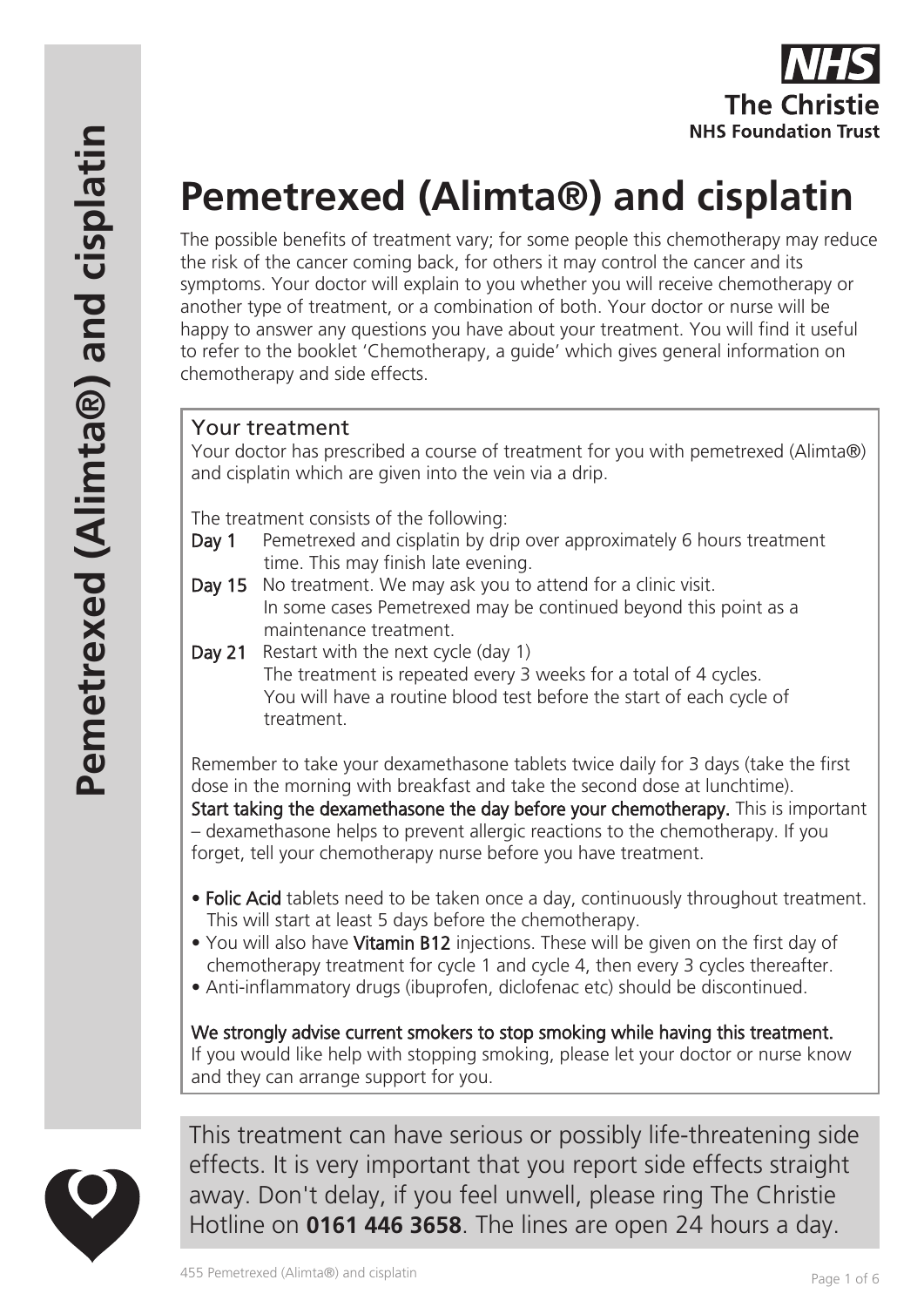

# **Pemetrexed (Alimta®) and cisplatin**

The possible benefits of treatment vary; for some people this chemotherapy may reduce the risk of the cancer coming back, for others it may control the cancer and its symptoms. Your doctor will explain to you whether you will receive chemotherapy or another type of treatment, or a combination of both. Your doctor or nurse will be happy to answer any questions you have about your treatment. You will find it useful to refer to the booklet 'Chemotherapy, a guide' which gives general information on chemotherapy and side effects.

# Your treatment

Your doctor has prescribed a course of treatment for you with pemetrexed (Alimta®) and cisplatin which are given into the vein via a drip.

The treatment consists of the following:

- Day 1 Pemetrexed and cisplatin by drip over approximately 6 hours treatment time. This may finish late evening.
- Day 15 No treatment. We may ask you to attend for a clinic visit. In some cases Pemetrexed may be continued beyond this point as a maintenance treatment.
- Day 21 Restart with the next cycle (day 1) The treatment is repeated every 3 weeks for a total of 4 cycles. You will have a routine blood test before the start of each cycle of treatment.

Remember to take your dexamethasone tablets twice daily for 3 days (take the first dose in the morning with breakfast and take the second dose at lunchtime). Start taking the dexamethasone the day before your chemotherapy. This is important – dexamethasone helps to prevent allergic reactions to the chemotherapy. If you forget, tell your chemotherapy nurse before you have treatment.

- Folic Acid tablets need to be taken once a day, continuously throughout treatment. This will start at least 5 days before the chemotherapy.
- You will also have Vitamin B12 injections. These will be given on the first day of chemotherapy treatment for cycle 1 and cycle 4, then every 3 cycles thereafter.
- Anti-inflammatory drugs (ibuprofen, diclofenac etc) should be discontinued.

We strongly advise current smokers to stop smoking while having this treatment. If you would like help with stopping smoking, please let your doctor or nurse know and they can arrange support for you.



This treatment can have serious or possibly life-threatening side effects. It is very important that you report side effects straight away. Don't delay, if you feel unwell, please ring The Christie Hotline on **0161 446 3658**. The lines are open 24 hours a day.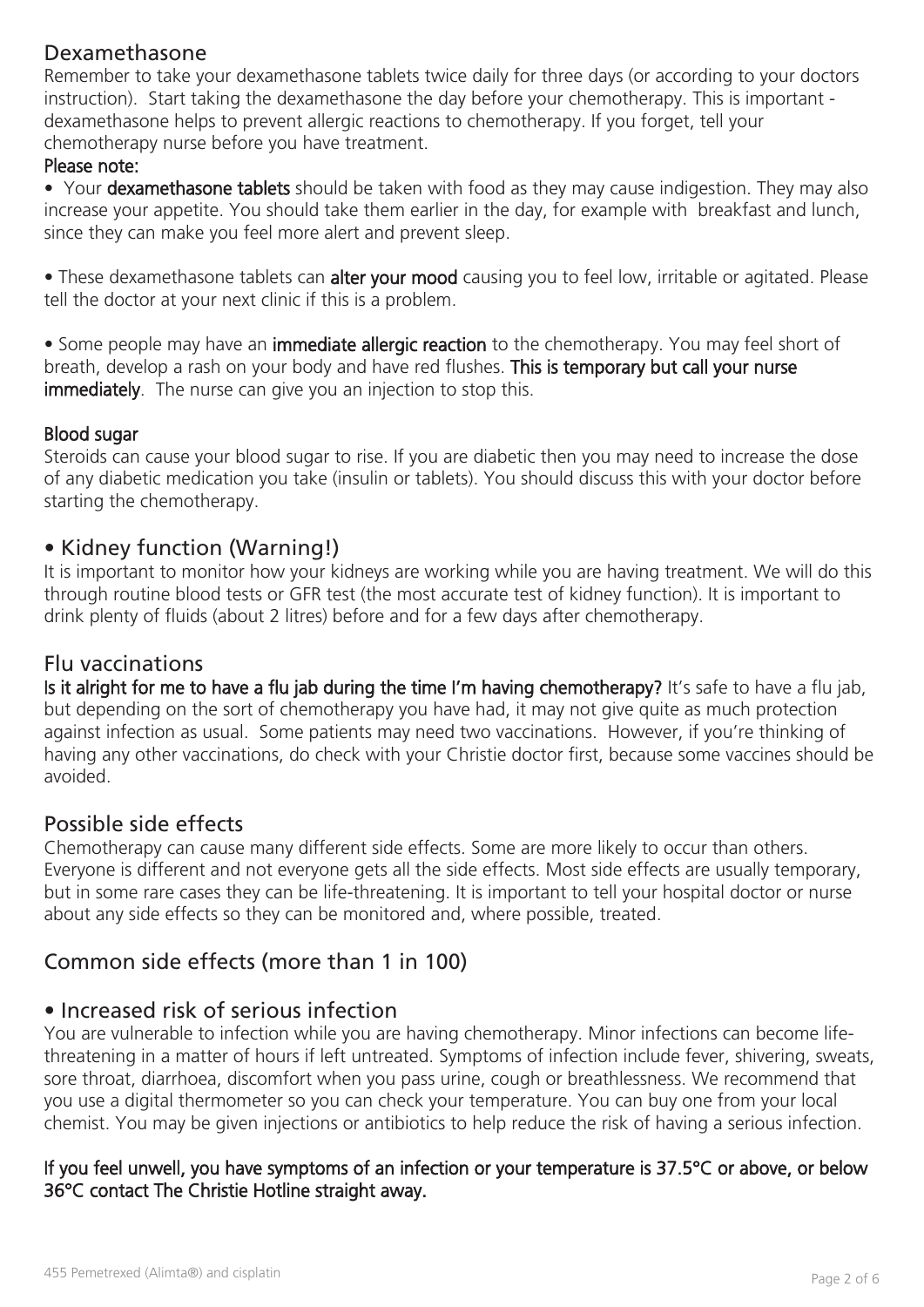# Dexamethasone

Remember to take your dexamethasone tablets twice daily for three days (or according to your doctors instruction). Start taking the dexamethasone the day before your chemotherapy. This is important dexamethasone helps to prevent allergic reactions to chemotherapy. If you forget, tell your chemotherapy nurse before you have treatment.

#### Please note:

• Your dexamethasone tablets should be taken with food as they may cause indigestion. They may also increase your appetite. You should take them earlier in the day, for example with breakfast and lunch, since they can make you feel more alert and prevent sleep.

• These dexamethasone tablets can alter your mood causing you to feel low, irritable or agitated. Please tell the doctor at your next clinic if this is a problem.

• Some people may have an immediate allergic reaction to the chemotherapy. You may feel short of breath, develop a rash on your body and have red flushes. This is temporary but call your nurse immediately. The nurse can give you an injection to stop this.

#### Blood sugar

Steroids can cause your blood sugar to rise. If you are diabetic then you may need to increase the dose of any diabetic medication you take (insulin or tablets). You should discuss this with your doctor before starting the chemotherapy.

## • Kidney function (Warning!)

It is important to monitor how your kidneys are working while you are having treatment. We will do this through routine blood tests or GFR test (the most accurate test of kidney function). It is important to drink plenty of fluids (about 2 litres) before and for a few days after chemotherapy.

## Flu vaccinations

Is it alright for me to have a flu jab during the time I'm having chemotherapy? It's safe to have a flu jab, but depending on the sort of chemotherapy you have had, it may not give quite as much protection against infection as usual. Some patients may need two vaccinations. However, if you're thinking of having any other vaccinations, do check with your Christie doctor first, because some vaccines should be avoided.

## Possible side effects

Chemotherapy can cause many different side effects. Some are more likely to occur than others. Everyone is different and not everyone gets all the side effects. Most side effects are usually temporary, but in some rare cases they can be life-threatening. It is important to tell your hospital doctor or nurse about any side effects so they can be monitored and, where possible, treated.

# Common side effects (more than 1 in 100)

## • Increased risk of serious infection

You are vulnerable to infection while you are having chemotherapy. Minor infections can become lifethreatening in a matter of hours if left untreated. Symptoms of infection include fever, shivering, sweats, sore throat, diarrhoea, discomfort when you pass urine, cough or breathlessness. We recommend that you use a digital thermometer so you can check your temperature. You can buy one from your local chemist. You may be given injections or antibiotics to help reduce the risk of having a serious infection.

## If you feel unwell, you have symptoms of an infection or your temperature is 37.5°C or above, or below 36°C contact The Christie Hotline straight away.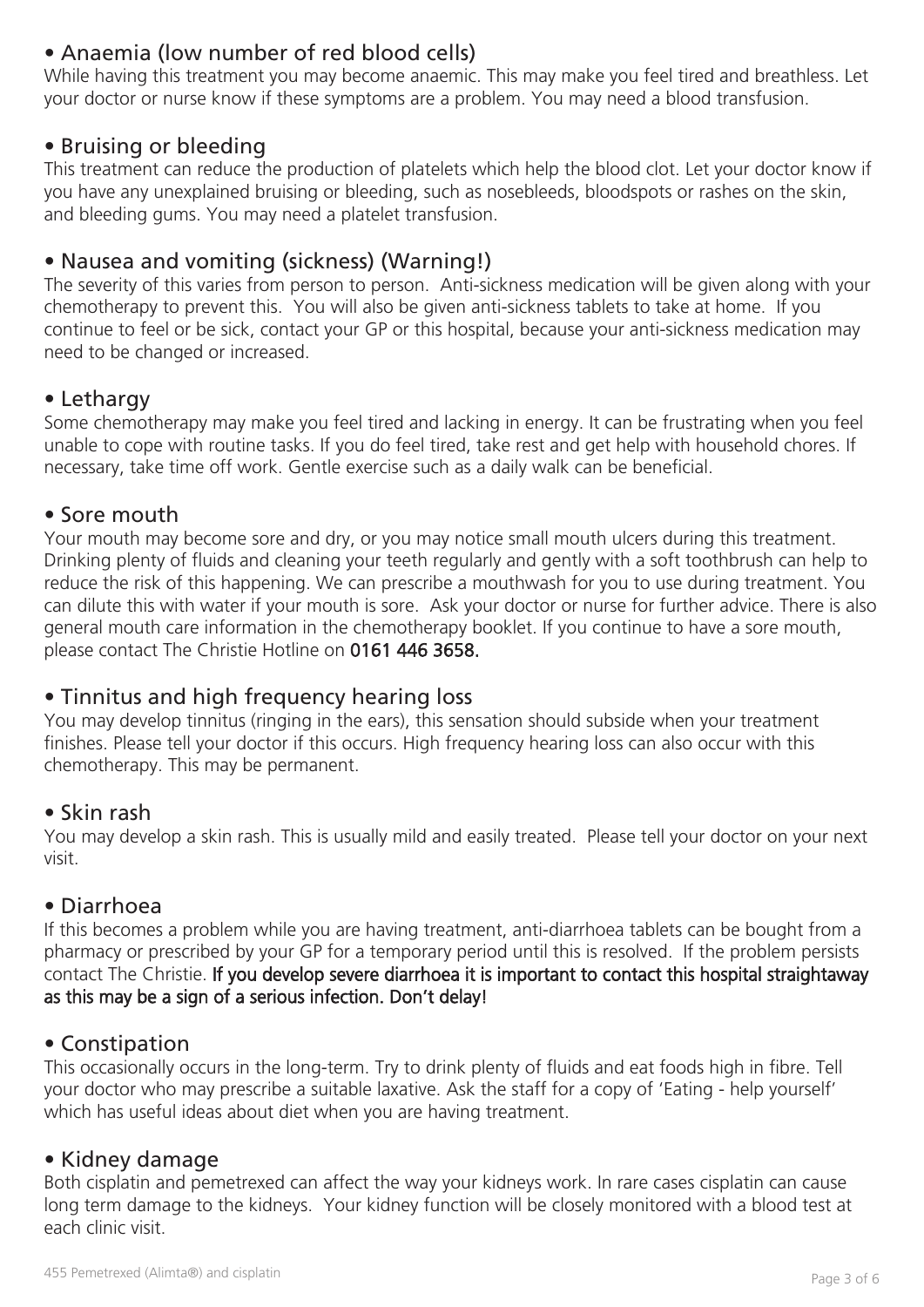# • Anaemia (low number of red blood cells)

While having this treatment you may become anaemic. This may make you feel tired and breathless. Let your doctor or nurse know if these symptoms are a problem. You may need a blood transfusion.

## • Bruising or bleeding

This treatment can reduce the production of platelets which help the blood clot. Let your doctor know if you have any unexplained bruising or bleeding, such as nosebleeds, bloodspots or rashes on the skin, and bleeding gums. You may need a platelet transfusion.

# • Nausea and vomiting (sickness) (Warning!)

The severity of this varies from person to person. Anti-sickness medication will be given along with your chemotherapy to prevent this. You will also be given anti-sickness tablets to take at home. If you continue to feel or be sick, contact your GP or this hospital, because your anti-sickness medication may need to be changed or increased.

## • Lethargy

Some chemotherapy may make you feel tired and lacking in energy. It can be frustrating when you feel unable to cope with routine tasks. If you do feel tired, take rest and get help with household chores. If necessary, take time off work. Gentle exercise such as a daily walk can be beneficial.

## • Sore mouth

Your mouth may become sore and dry, or you may notice small mouth ulcers during this treatment. Drinking plenty of fluids and cleaning your teeth regularly and gently with a soft toothbrush can help to reduce the risk of this happening. We can prescribe a mouthwash for you to use during treatment. You can dilute this with water if your mouth is sore. Ask your doctor or nurse for further advice. There is also general mouth care information in the chemotherapy booklet. If you continue to have a sore mouth, please contact The Christie Hotline on 0161 446 3658.

## • Tinnitus and high frequency hearing loss

You may develop tinnitus (ringing in the ears), this sensation should subside when your treatment finishes. Please tell your doctor if this occurs. High frequency hearing loss can also occur with this chemotherapy. This may be permanent.

## • Skin rash

You may develop a skin rash. This is usually mild and easily treated. Please tell your doctor on your next visit.

## • Diarrhoea

If this becomes a problem while you are having treatment, anti-diarrhoea tablets can be bought from a pharmacy or prescribed by your GP for a temporary period until this is resolved. If the problem persists contact The Christie. If you develop severe diarrhoea it is important to contact this hospital straightaway as this may be a sign of a serious infection. Don't delay!

## • Constipation

This occasionally occurs in the long-term. Try to drink plenty of fluids and eat foods high in fibre. Tell your doctor who may prescribe a suitable laxative. Ask the staff for a copy of 'Eating - help yourself' which has useful ideas about diet when you are having treatment.

## • Kidney damage

Both cisplatin and pemetrexed can affect the way your kidneys work. In rare cases cisplatin can cause long term damage to the kidneys. Your kidney function will be closely monitored with a blood test at each clinic visit.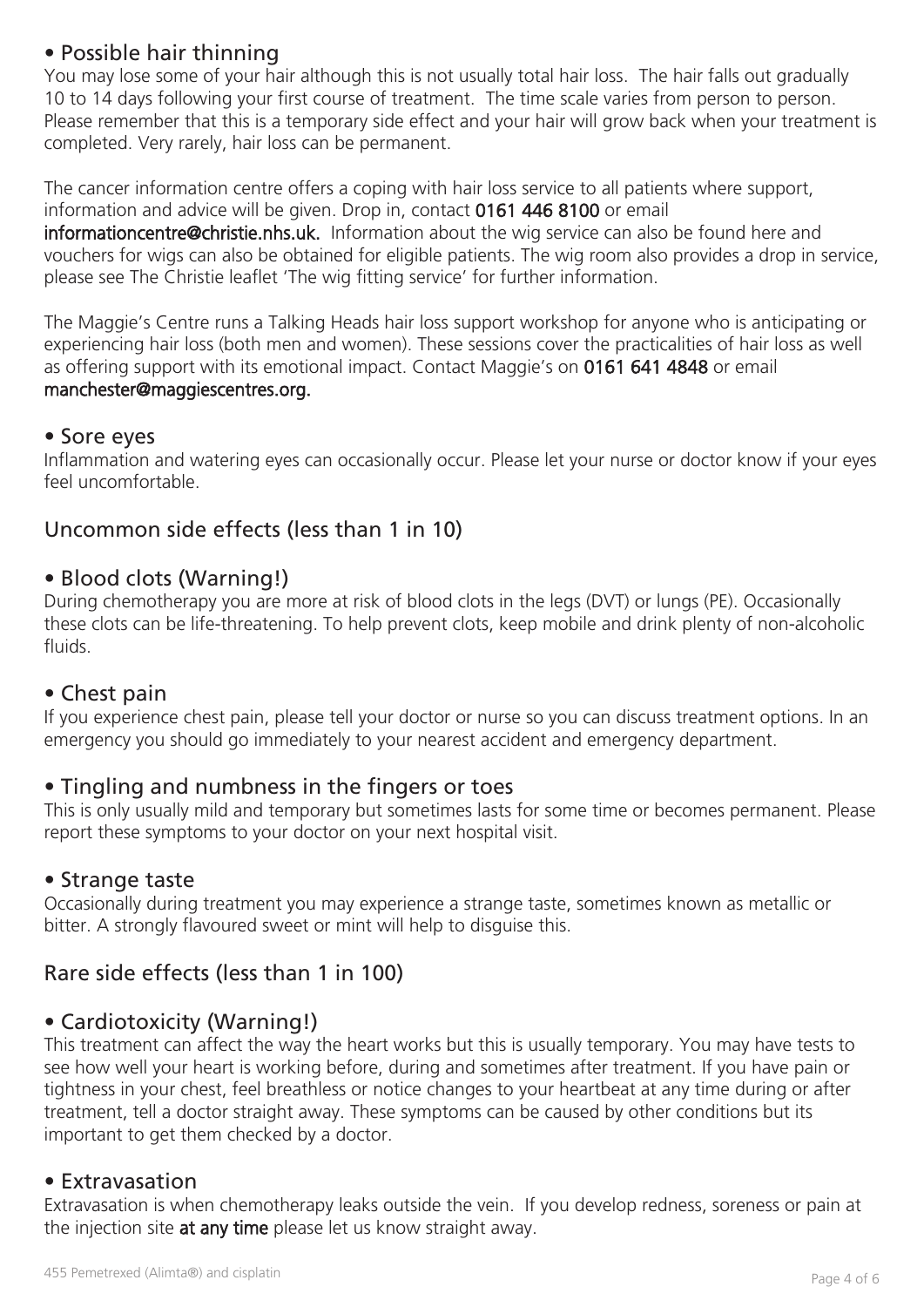# • Possible hair thinning

You may lose some of your hair although this is not usually total hair loss. The hair falls out gradually 10 to 14 days following your first course of treatment. The time scale varies from person to person. Please remember that this is a temporary side effect and your hair will grow back when your treatment is completed. Very rarely, hair loss can be permanent.

The cancer information centre offers a coping with hair loss service to all patients where support, information and advice will be given. Drop in, contact 0161 446 8100 or email informationcentre@christie.nhs.uk. Information about the wig service can also be found here and vouchers for wigs can also be obtained for eligible patients. The wig room also provides a drop in service, please see The Christie leaflet 'The wig fitting service' for further information.

The Maggie's Centre runs a Talking Heads hair loss support workshop for anyone who is anticipating or experiencing hair loss (both men and women). These sessions cover the practicalities of hair loss as well as offering support with its emotional impact. Contact Maggie's on 0161 641 4848 or email manchester@maggiescentres.org.

## • Sore eyes

Inflammation and watering eyes can occasionally occur. Please let your nurse or doctor know if your eyes feel uncomfortable.

# Uncommon side effects (less than 1 in 10)

## • Blood clots (Warning!)

During chemotherapy you are more at risk of blood clots in the legs (DVT) or lungs (PE). Occasionally these clots can be life-threatening. To help prevent clots, keep mobile and drink plenty of non-alcoholic fluids.

## • Chest pain

If you experience chest pain, please tell your doctor or nurse so you can discuss treatment options. In an emergency you should go immediately to your nearest accident and emergency department.

## • Tingling and numbness in the fingers or toes

This is only usually mild and temporary but sometimes lasts for some time or becomes permanent. Please report these symptoms to your doctor on your next hospital visit.

## • Strange taste

Occasionally during treatment you may experience a strange taste, sometimes known as metallic or bitter. A strongly flavoured sweet or mint will help to disguise this.

# Rare side effects (less than 1 in 100)

## • Cardiotoxicity (Warning!)

This treatment can affect the way the heart works but this is usually temporary. You may have tests to see how well your heart is working before, during and sometimes after treatment. If you have pain or tightness in your chest, feel breathless or notice changes to your heartbeat at any time during or after treatment, tell a doctor straight away. These symptoms can be caused by other conditions but its important to get them checked by a doctor.

## • Extravasation

Extravasation is when chemotherapy leaks outside the vein. If you develop redness, soreness or pain at the injection site at any time please let us know straight away.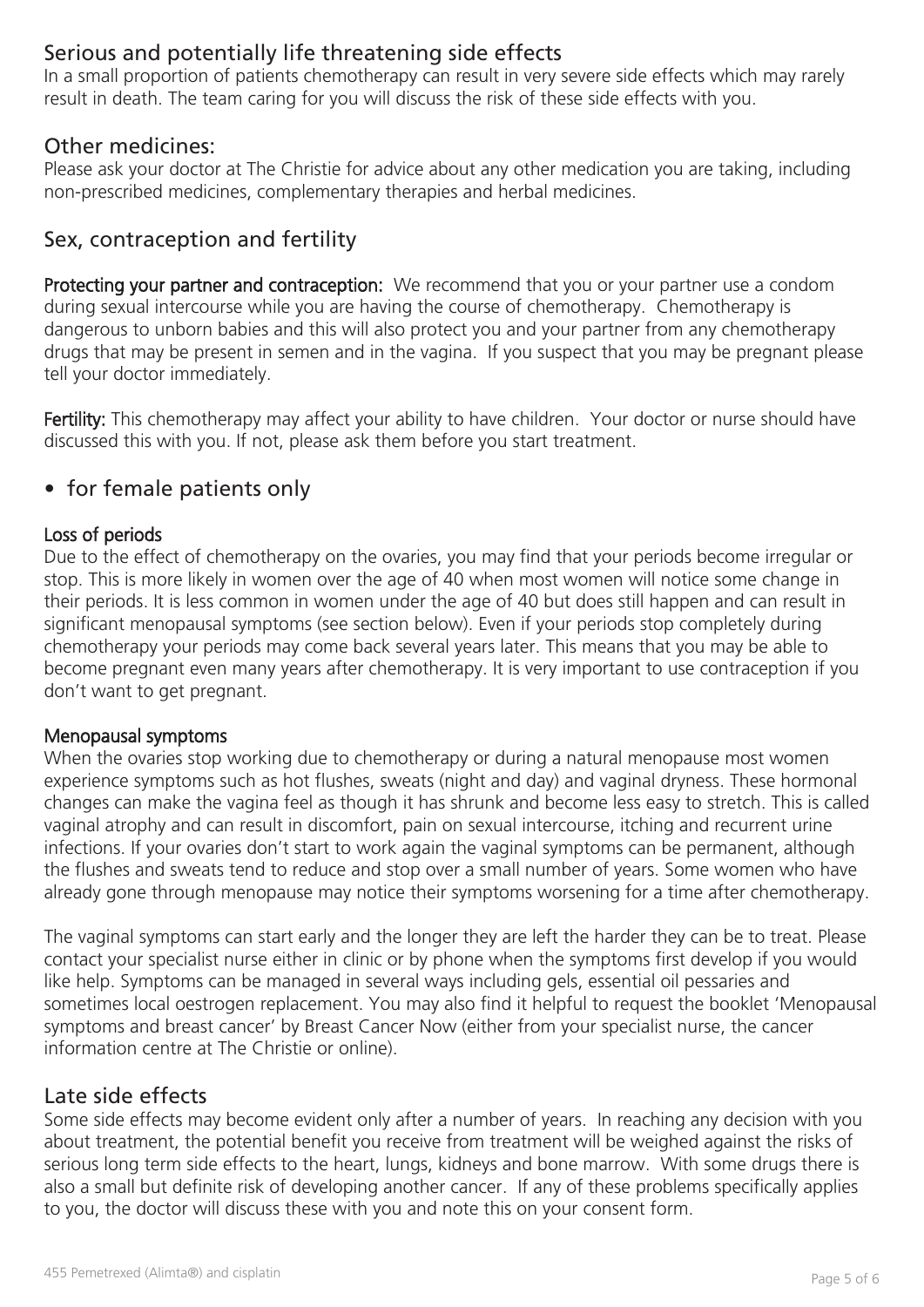# Serious and potentially life threatening side effects

In a small proportion of patients chemotherapy can result in very severe side effects which may rarely result in death. The team caring for you will discuss the risk of these side effects with you.

## Other medicines:

Please ask your doctor at The Christie for advice about any other medication you are taking, including non-prescribed medicines, complementary therapies and herbal medicines.

# Sex, contraception and fertility

Protecting your partner and contraception: We recommend that you or your partner use a condom during sexual intercourse while you are having the course of chemotherapy. Chemotherapy is dangerous to unborn babies and this will also protect you and your partner from any chemotherapy drugs that may be present in semen and in the vagina. If you suspect that you may be pregnant please tell your doctor immediately.

Fertility: This chemotherapy may affect your ability to have children. Your doctor or nurse should have discussed this with you. If not, please ask them before you start treatment.

## • for female patients only

#### Loss of periods

Due to the effect of chemotherapy on the ovaries, you may find that your periods become irregular or stop. This is more likely in women over the age of 40 when most women will notice some change in their periods. It is less common in women under the age of 40 but does still happen and can result in significant menopausal symptoms (see section below). Even if your periods stop completely during chemotherapy your periods may come back several years later. This means that you may be able to become pregnant even many years after chemotherapy. It is very important to use contraception if you don't want to get pregnant.

#### Menopausal symptoms

When the ovaries stop working due to chemotherapy or during a natural menopause most women experience symptoms such as hot flushes, sweats (night and day) and vaginal dryness. These hormonal changes can make the vagina feel as though it has shrunk and become less easy to stretch. This is called vaginal atrophy and can result in discomfort, pain on sexual intercourse, itching and recurrent urine infections. If your ovaries don't start to work again the vaginal symptoms can be permanent, although the flushes and sweats tend to reduce and stop over a small number of years. Some women who have already gone through menopause may notice their symptoms worsening for a time after chemotherapy.

The vaginal symptoms can start early and the longer they are left the harder they can be to treat. Please contact your specialist nurse either in clinic or by phone when the symptoms first develop if you would like help. Symptoms can be managed in several ways including gels, essential oil pessaries and sometimes local oestrogen replacement. You may also find it helpful to request the booklet 'Menopausal symptoms and breast cancer' by Breast Cancer Now (either from your specialist nurse, the cancer information centre at The Christie or online).

## Late side effects

Some side effects may become evident only after a number of years. In reaching any decision with you about treatment, the potential benefit you receive from treatment will be weighed against the risks of serious long term side effects to the heart, lungs, kidneys and bone marrow. With some drugs there is also a small but definite risk of developing another cancer. If any of these problems specifically applies to you, the doctor will discuss these with you and note this on your consent form.